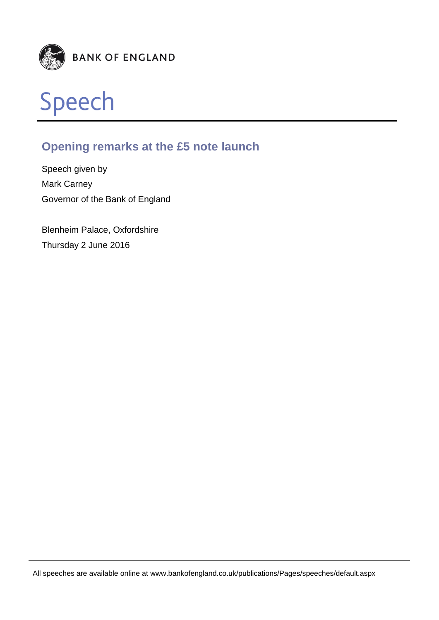



# **Opening remarks at the £5 note launch**

Speech given by Mark Carney Governor of the Bank of England

Blenheim Palace, Oxfordshire Thursday 2 June 2016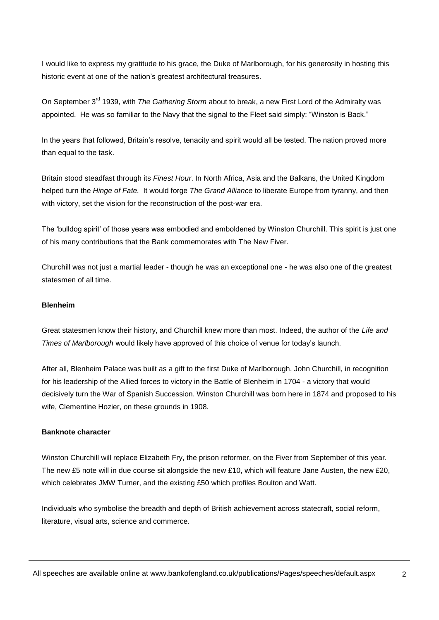I would like to express my gratitude to his grace, the Duke of Marlborough, for his generosity in hosting this historic event at one of the nation's greatest architectural treasures.

On September 3rd 1939, with *The Gathering Storm* about to break, a new First Lord of the Admiralty was appointed. He was so familiar to the Navy that the signal to the Fleet said simply: "Winston is Back."

In the years that followed, Britain's resolve, tenacity and spirit would all be tested. The nation proved more than equal to the task.

Britain stood steadfast through its *Finest Hour*. In North Africa, Asia and the Balkans, the United Kingdom helped turn the *Hinge of Fate.* It would forge *The Grand Alliance* to liberate Europe from tyranny, and then with victory, set the vision for the reconstruction of the post-war era.

The 'bulldog spirit' of those years was embodied and emboldened by Winston Churchill. This spirit is just one of his many contributions that the Bank commemorates with The New Fiver.

Churchill was not just a martial leader - though he was an exceptional one - he was also one of the greatest statesmen of all time.

## **Blenheim**

Great statesmen know their history, and Churchill knew more than most. Indeed, the author of the *Life and Times of Marlborough* would likely have approved of this choice of venue for today's launch.

After all, Blenheim Palace was built as a gift to the first Duke of Marlborough, John Churchill, in recognition for his leadership of the Allied forces to victory in the Battle of Blenheim in 1704 - a victory that would decisively turn the War of Spanish Succession. Winston Churchill was born here in 1874 and proposed to his wife, Clementine Hozier, on these grounds in 1908.

#### **Banknote character**

Winston Churchill will replace Elizabeth Fry, the prison reformer, on the Fiver from September of this year. The new £5 note will in due course sit alongside the new £10, which will feature Jane Austen, the new £20, which celebrates JMW Turner, and the existing £50 which profiles Boulton and Watt.

Individuals who symbolise the breadth and depth of British achievement across statecraft, social reform, literature, visual arts, science and commerce.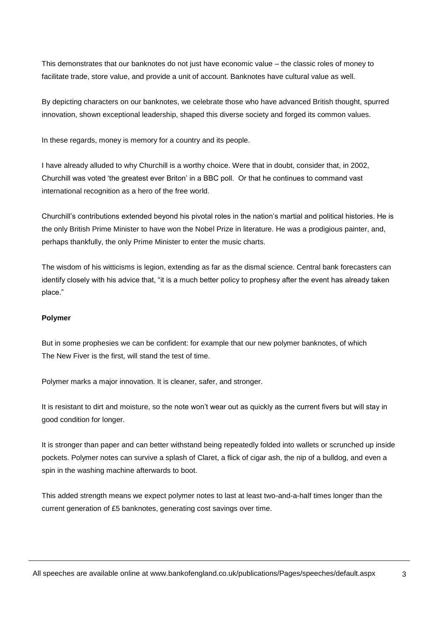This demonstrates that our banknotes do not just have economic value – the classic roles of money to facilitate trade, store value, and provide a unit of account. Banknotes have cultural value as well.

By depicting characters on our banknotes, we celebrate those who have advanced British thought, spurred innovation, shown exceptional leadership, shaped this diverse society and forged its common values.

In these regards, money is memory for a country and its people.

I have already alluded to why Churchill is a worthy choice. Were that in doubt, consider that, in 2002, Churchill was voted 'the greatest ever Briton' in a BBC poll. Or that he continues to command vast international recognition as a hero of the free world.

Churchill's contributions extended beyond his pivotal roles in the nation's martial and political histories. He is the only British Prime Minister to have won the Nobel Prize in literature. He was a prodigious painter, and, perhaps thankfully, the only Prime Minister to enter the music charts.

The wisdom of his witticisms is legion, extending as far as the dismal science. Central bank forecasters can identify closely with his advice that, "it is a much better policy to prophesy after the event has already taken place."

#### **Polymer**

But in some prophesies we can be confident: for example that our new polymer banknotes, of which The New Fiver is the first, will stand the test of time.

Polymer marks a major innovation. It is cleaner, safer, and stronger.

It is resistant to dirt and moisture, so the note won't wear out as quickly as the current fivers but will stay in good condition for longer.

It is stronger than paper and can better withstand being repeatedly folded into wallets or scrunched up inside pockets. Polymer notes can survive a splash of Claret, a flick of cigar ash, the nip of a bulldog, and even a spin in the washing machine afterwards to boot.

This added strength means we expect polymer notes to last at least two-and-a-half times longer than the current generation of £5 banknotes, generating cost savings over time.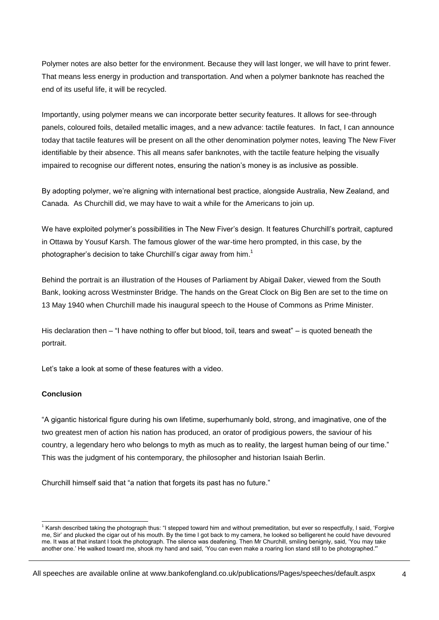Polymer notes are also better for the environment. Because they will last longer, we will have to print fewer. That means less energy in production and transportation. And when a polymer banknote has reached the end of its useful life, it will be recycled.

Importantly, using polymer means we can incorporate better security features. It allows for see-through panels, coloured foils, detailed metallic images, and a new advance: tactile features. In fact, I can announce today that tactile features will be present on all the other denomination polymer notes, leaving The New Fiver identifiable by their absence. This all means safer banknotes, with the tactile feature helping the visually impaired to recognise our different notes, ensuring the nation's money is as inclusive as possible.

By adopting polymer, we're aligning with international best practice, alongside Australia, New Zealand, and Canada. As Churchill did, we may have to wait a while for the Americans to join up.

We have exploited polymer's possibilities in The New Fiver's design. It features Churchill's portrait, captured in Ottawa by Yousuf Karsh. The famous glower of the war-time hero prompted, in this case, by the photographer's decision to take Churchill's cigar away from  $him<sup>1</sup>$ 

Behind the portrait is an illustration of the Houses of Parliament by Abigail Daker, viewed from the South Bank, looking across Westminster Bridge. The hands on the Great Clock on Big Ben are set to the time on 13 May 1940 when Churchill made his inaugural speech to the House of Commons as Prime Minister.

His declaration then – "I have nothing to offer but blood, toil, tears and sweat" – is quoted beneath the portrait.

Let's take a look at some of these features with a video.

### **Conclusion**

1

"A gigantic historical figure during his own lifetime, superhumanly bold, strong, and imaginative, one of the two greatest men of action his nation has produced, an orator of prodigious powers, the saviour of his country, a legendary hero who belongs to myth as much as to reality, the largest human being of our time." This was the judgment of his contemporary, the philosopher and historian Isaiah Berlin.

Churchill himself said that "a nation that forgets its past has no future."

 $1$  Karsh described taking the photograph thus: "I stepped toward him and without premeditation, but ever so respectfully, I said, 'Forgive me, Sir' and plucked the cigar out of his mouth. By the time I got back to my camera, he looked so belligerent he could have devoured me. It was at that instant I took the photograph. The silence was deafening. Then Mr Churchill, smiling benignly, said, 'You may take another one.' He walked toward me, shook my hand and said, 'You can even make a roaring lion stand still to be photographed.'"